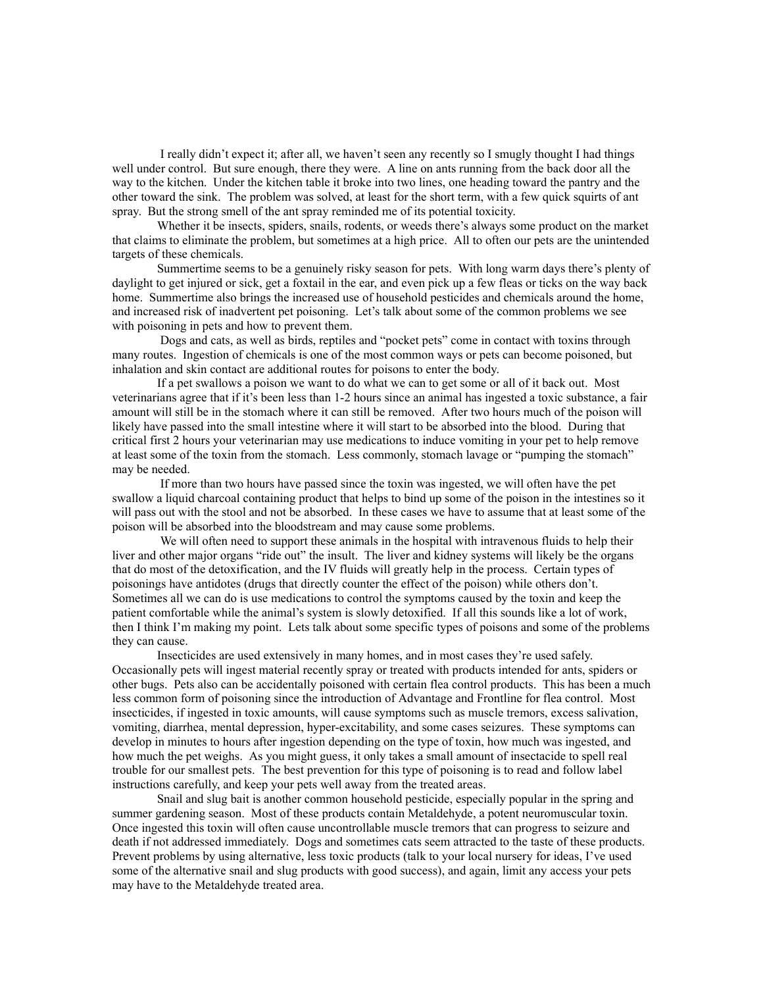I really didn't expect it; after all, we haven't seen any recently so I smugly thought I had things well under control. But sure enough, there they were. A line on ants running from the back door all the way to the kitchen. Under the kitchen table it broke into two lines, one heading toward the pantry and the other toward the sink. The problem was solved, at least for the short term, with a few quick squirts of ant spray. But the strong smell of the ant spray reminded me of its potential toxicity.

Whether it be insects, spiders, snails, rodents, or weeds there's always some product on the market that claims to eliminate the problem, but sometimes at a high price. All to often our pets are the unintended targets of these chemicals.

Summertime seems to be a genuinely risky season for pets. With long warm days there's plenty of daylight to get injured or sick, get a foxtail in the ear, and even pick up a few fleas or ticks on the way back home. Summertime also brings the increased use of household pesticides and chemicals around the home, and increased risk of inadvertent pet poisoning. Let's talk about some of the common problems we see with poisoning in pets and how to prevent them.

 Dogs and cats, as well as birds, reptiles and "pocket pets" come in contact with toxins through many routes. Ingestion of chemicals is one of the most common ways or pets can become poisoned, but inhalation and skin contact are additional routes for poisons to enter the body.

If a pet swallows a poison we want to do what we can to get some or all of it back out. Most veterinarians agree that if it's been less than 1-2 hours since an animal has ingested a toxic substance, a fair amount will still be in the stomach where it can still be removed. After two hours much of the poison will likely have passed into the small intestine where it will start to be absorbed into the blood. During that critical first 2 hours your veterinarian may use medications to induce vomiting in your pet to help remove at least some of the toxin from the stomach. Less commonly, stomach lavage or "pumping the stomach" may be needed.

 If more than two hours have passed since the toxin was ingested, we will often have the pet swallow a liquid charcoal containing product that helps to bind up some of the poison in the intestines so it will pass out with the stool and not be absorbed. In these cases we have to assume that at least some of the poison will be absorbed into the bloodstream and may cause some problems.

 We will often need to support these animals in the hospital with intravenous fluids to help their liver and other major organs "ride out" the insult. The liver and kidney systems will likely be the organs that do most of the detoxification, and the IV fluids will greatly help in the process. Certain types of poisonings have antidotes (drugs that directly counter the effect of the poison) while others don't. Sometimes all we can do is use medications to control the symptoms caused by the toxin and keep the patient comfortable while the animal's system is slowly detoxified. If all this sounds like a lot of work, then I think I'm making my point. Lets talk about some specific types of poisons and some of the problems they can cause.

Insecticides are used extensively in many homes, and in most cases they're used safely. Occasionally pets will ingest material recently spray or treated with products intended for ants, spiders or other bugs. Pets also can be accidentally poisoned with certain flea control products. This has been a much less common form of poisoning since the introduction of Advantage and Frontline for flea control. Most insecticides, if ingested in toxic amounts, will cause symptoms such as muscle tremors, excess salivation, vomiting, diarrhea, mental depression, hyper-excitability, and some cases seizures. These symptoms can develop in minutes to hours after ingestion depending on the type of toxin, how much was ingested, and how much the pet weighs. As you might guess, it only takes a small amount of insectacide to spell real trouble for our smallest pets. The best prevention for this type of poisoning is to read and follow label instructions carefully, and keep your pets well away from the treated areas.

Snail and slug bait is another common household pesticide, especially popular in the spring and summer gardening season. Most of these products contain Metaldehyde, a potent neuromuscular toxin. Once ingested this toxin will often cause uncontrollable muscle tremors that can progress to seizure and death if not addressed immediately. Dogs and sometimes cats seem attracted to the taste of these products. Prevent problems by using alternative, less toxic products (talk to your local nursery for ideas, I've used some of the alternative snail and slug products with good success), and again, limit any access your pets may have to the Metaldehyde treated area.